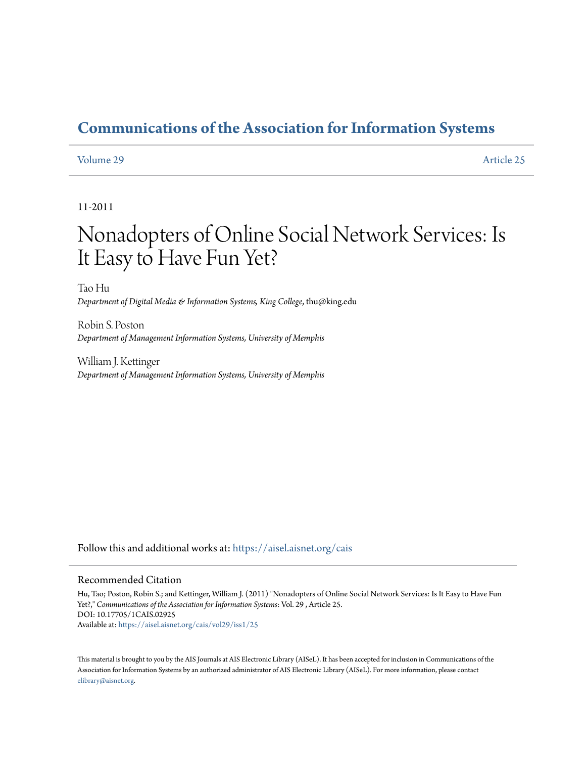### **[Communications of the Association for Information Systems](https://aisel.aisnet.org/cais?utm_source=aisel.aisnet.org%2Fcais%2Fvol29%2Fiss1%2F25&utm_medium=PDF&utm_campaign=PDFCoverPages)**

#### [Volume 29](https://aisel.aisnet.org/cais/vol29?utm_source=aisel.aisnet.org%2Fcais%2Fvol29%2Fiss1%2F25&utm_medium=PDF&utm_campaign=PDFCoverPages) [Article 25](https://aisel.aisnet.org/cais/vol29/iss1/25?utm_source=aisel.aisnet.org%2Fcais%2Fvol29%2Fiss1%2F25&utm_medium=PDF&utm_campaign=PDFCoverPages)

#### 11-2011

## Nonadopters of Online Social Network Services: Is It Easy to Have Fun Yet?

Tao Hu *Department of Digital Media & Information Systems, King College*, thu@king.edu

Robin S. Poston *Department of Management Information Systems, University of Memphis*

William J. Kettinger *Department of Management Information Systems, University of Memphis*

Follow this and additional works at: [https://aisel.aisnet.org/cais](https://aisel.aisnet.org/cais?utm_source=aisel.aisnet.org%2Fcais%2Fvol29%2Fiss1%2F25&utm_medium=PDF&utm_campaign=PDFCoverPages)

#### Recommended Citation

Hu, Tao; Poston, Robin S.; and Kettinger, William J. (2011) "Nonadopters of Online Social Network Services: Is It Easy to Have Fun Yet?," *Communications of the Association for Information Systems*: Vol. 29 , Article 25. DOI: 10.17705/1CAIS.02925 Available at: [https://aisel.aisnet.org/cais/vol29/iss1/25](https://aisel.aisnet.org/cais/vol29/iss1/25?utm_source=aisel.aisnet.org%2Fcais%2Fvol29%2Fiss1%2F25&utm_medium=PDF&utm_campaign=PDFCoverPages)

This material is brought to you by the AIS Journals at AIS Electronic Library (AISeL). It has been accepted for inclusion in Communications of the Association for Information Systems by an authorized administrator of AIS Electronic Library (AISeL). For more information, please contact [elibrary@aisnet.org.](mailto:elibrary@aisnet.org%3E)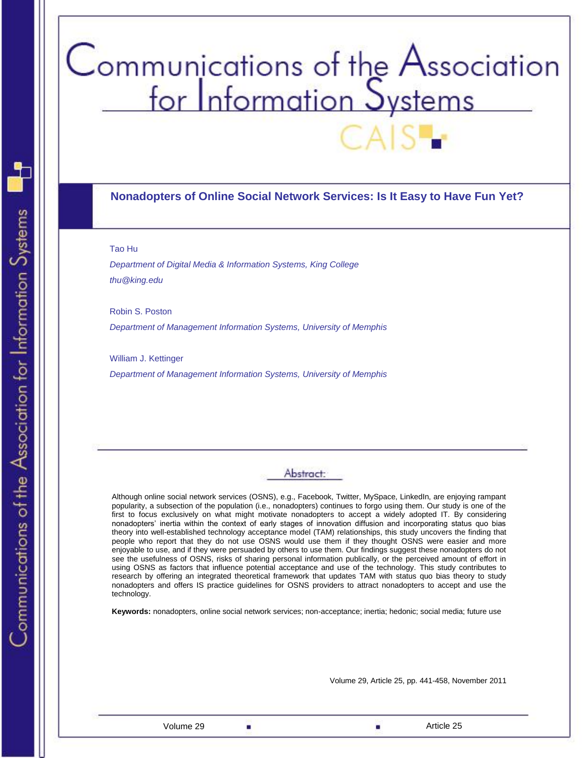# Communications of the Association<br>for Information Systems

#### **Nonadopters of Online Social Network Services: Is It Easy to Have Fun Yet?**

Tao Hu

*Department of Digital Media & Information Systems, King College thu@king.edu*

Robin S. Poston *Department of Management Information Systems, University of Memphis*

William J. Kettinger *Department of Management Information Systems, University of Memphis*

#### Abstract:

Although online social network services (OSNS), e.g., Facebook, Twitter, MySpace, LinkedIn, are enjoying rampant popularity, a subsection of the population (i.e., nonadopters) continues to forgo using them. Our study is one of the first to focus exclusively on what might motivate nonadopters to accept a widely adopted IT. By considering nonadopters' inertia within the context of early stages of innovation diffusion and incorporating status quo bias theory into well-established technology acceptance model (TAM) relationships, this study uncovers the finding that people who report that they do not use OSNS would use them if they thought OSNS were easier and more enjoyable to use, and if they were persuaded by others to use them. Our findings suggest these nonadopters do not see the usefulness of OSNS, risks of sharing personal information publically, or the perceived amount of effort in using OSNS as factors that influence potential acceptance and use of the technology. This study contributes to research by offering an integrated theoretical framework that updates TAM with status quo bias theory to study nonadopters and offers IS practice guidelines for OSNS providers to attract nonadopters to accept and use the technology.

**Keywords:** nonadopters, online social network services; non-acceptance; inertia; hedonic; social media; future use

Volume 29, Article 25, pp. 441-458, November 2011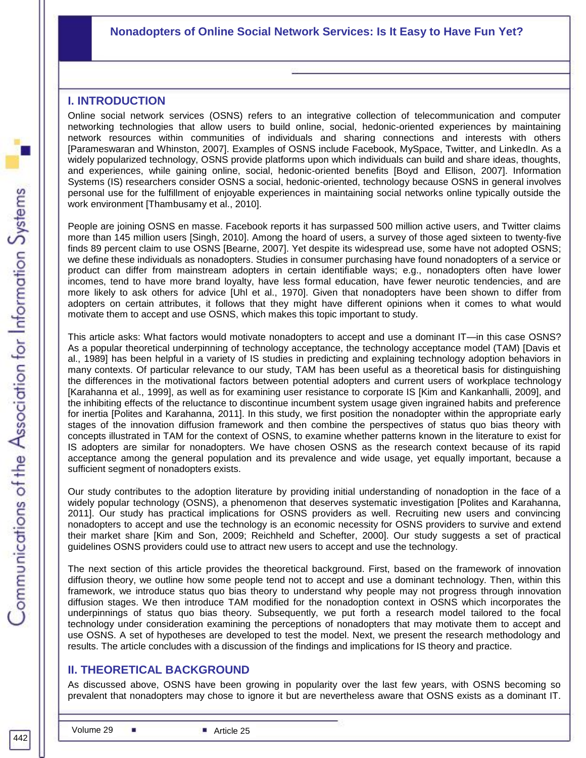#### **Nonadopters of Online Social Network Services: Is It Easy to Have Fun Yet?**

#### **I. INTRODUCTION**

Online social network services (OSNS) refers to an integrative collection of telecommunication and computer networking technologies that allow users to build online, social, hedonic-oriented experiences by maintaining network resources within communities of individuals and sharing connections and interests with others [Parameswaran and Whinston, 2007]. Examples of OSNS include Facebook, MySpace, Twitter, and LinkedIn. As a widely popularized technology, OSNS provide platforms upon which individuals can build and share ideas, thoughts, and experiences, while gaining online, social, hedonic-oriented benefits [Boyd and Ellison, 2007]. Information Systems (IS) researchers consider OSNS a social, hedonic-oriented, technology because OSNS in general involves personal use for the fulfillment of enjoyable experiences in maintaining social networks online typically outside the work environment [Thambusamy et al., 2010].

People are joining OSNS en masse. Facebook reports it has surpassed 500 million active users, and Twitter claims more than 145 million users [Singh, 2010]. Among the hoard of users, a survey of those aged sixteen to twenty-five finds 89 percent claim to use OSNS [Bearne, 2007]. Yet despite its widespread use, some have not adopted OSNS; we define these individuals as nonadopters. Studies in consumer purchasing have found nonadopters of a service or product can differ from mainstream adopters in certain identifiable ways; e.g., nonadopters often have lower incomes, tend to have more brand loyalty, have less formal education, have fewer neurotic tendencies, and are more likely to ask others for advice [Uhl et al., 1970]. Given that nonadopters have been shown to differ from adopters on certain attributes, it follows that they might have different opinions when it comes to what would motivate them to accept and use OSNS, which makes this topic important to study.

This article asks: What factors would motivate nonadopters to accept and use a dominant IT—in this case OSNS? As a popular theoretical underpinning of technology acceptance, the technology acceptance model (TAM) [Davis et al., 1989] has been helpful in a variety of IS studies in predicting and explaining technology adoption behaviors in many contexts. Of particular relevance to our study, TAM has been useful as a theoretical basis for distinguishing the differences in the motivational factors between potential adopters and current users of workplace technology [Karahanna et al., 1999], as well as for examining user resistance to corporate IS [Kim and Kankanhalli, 2009], and the inhibiting effects of the reluctance to discontinue incumbent system usage given ingrained habits and preference for inertia [Polites and Karahanna, 2011]. In this study, we first position the nonadopter within the appropriate early stages of the innovation diffusion framework and then combine the perspectives of status quo bias theory with concepts illustrated in TAM for the context of OSNS, to examine whether patterns known in the literature to exist for IS adopters are similar for nonadopters. We have chosen OSNS as the research context because of its rapid acceptance among the general population and its prevalence and wide usage, yet equally important, because a sufficient segment of nonadopters exists.

Our study contributes to the adoption literature by providing initial understanding of nonadoption in the face of a widely popular technology (OSNS), a phenomenon that deserves systematic investigation [Polites and Karahanna, 2011]. Our study has practical implications for OSNS providers as well. Recruiting new users and convincing nonadopters to accept and use the technology is an economic necessity for OSNS providers to survive and extend their market share [Kim and Son, 2009; Reichheld and Schefter, 2000]. Our study suggests a set of practical guidelines OSNS providers could use to attract new users to accept and use the technology.

ase Gorvo. A servict syponieses are developed to test the model. Wext, we present the research methodology results. The article concludes with a discussion of the findings and implications for IS theory and practice. The next section of this article provides the theoretical background. First, based on the framework of innovation diffusion theory, we outline how some people tend not to accept and use a dominant technology. Then, within this framework, we introduce status quo bias theory to understand why people may not progress through innovation diffusion stages. We then introduce TAM modified for the nonadoption context in OSNS which incorporates the underpinnings of status quo bias theory. Subsequently, we put forth a research model tailored to the focal technology under consideration examining the perceptions of nonadopters that may motivate them to accept and use OSNS. A set of hypotheses are developed to test the model. Next, we present the research methodology and

#### **II. THEORETICAL BACKGROUND**

As discussed above, OSNS have been growing in popularity over the last few years, with OSNS becoming so prevalent that nonadopters may chose to ignore it but are nevertheless aware that OSNS exists as a dominant IT.

a.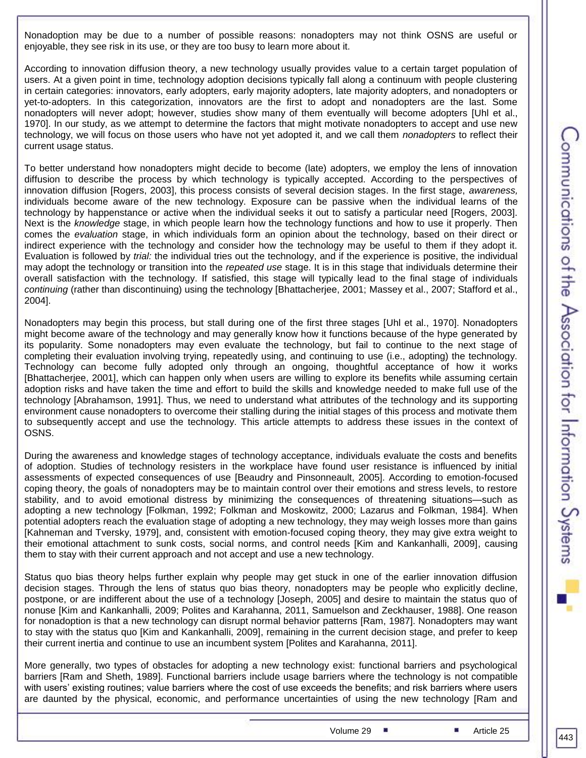Nonadoption may be due to a number of possible reasons: nonadopters may not think OSNS are useful or enjoyable, they see risk in its use, or they are too busy to learn more about it.

According to innovation diffusion theory, a new technology usually provides value to a certain target population of users. At a given point in time, technology adoption decisions typically fall along a continuum with people clustering in certain categories: innovators, early adopters, early majority adopters, late majority adopters, and nonadopters or yet-to-adopters. In this categorization, innovators are the first to adopt and nonadopters are the last. Some nonadopters will never adopt; however, studies show many of them eventually will become adopters [Uhl et al., 1970]. In our study, as we attempt to determine the factors that might motivate nonadopters to accept and use new technology, we will focus on those users who have not yet adopted it, and we call them *nonadopters* to reflect their current usage status.

To better understand how nonadopters might decide to become (late) adopters, we employ the lens of innovation diffusion to describe the process by which technology is typically accepted. According to the perspectives of innovation diffusion [Rogers, 2003], this process consists of several decision stages. In the first stage, *awareness,* individuals become aware of the new technology. Exposure can be passive when the individual learns of the technology by happenstance or active when the individual seeks it out to satisfy a particular need [Rogers, 2003]. Next is the *knowledge* stage, in which people learn how the technology functions and how to use it properly. Then comes the *evaluation* stage, in which individuals form an opinion about the technology, based on their direct or indirect experience with the technology and consider how the technology may be useful to them if they adopt it. Evaluation is followed by *trial:* the individual tries out the technology, and if the experience is positive, the individual may adopt the technology or transition into the *repeated use* stage. It is in this stage that individuals determine their overall satisfaction with the technology. If satisfied, this stage will typically lead to the final stage of individuals *continuing* (rather than discontinuing) using the technology [Bhattacherjee, 2001; Massey et al., 2007; Stafford et al., 2004].

Nonadopters may begin this process, but stall during one of the first three stages [Uhl et al., 1970]. Nonadopters might become aware of the technology and may generally know how it functions because of the hype generated by its popularity. Some nonadopters may even evaluate the technology, but fail to continue to the next stage of completing their evaluation involving trying, repeatedly using, and continuing to use (i.e., adopting) the technology. Technology can become fully adopted only through an ongoing, thoughtful acceptance of how it works [Bhattacherjee, 2001], which can happen only when users are willing to explore its benefits while assuming certain adoption risks and have taken the time and effort to build the skills and knowledge needed to make full use of the technology [Abrahamson, 1991]. Thus, we need to understand what attributes of the technology and its supporting environment cause nonadopters to overcome their stalling during the initial stages of this process and motivate them to subsequently accept and use the technology. This article attempts to address these issues in the context of OSNS.

During the awareness and knowledge stages of technology acceptance, individuals evaluate the costs and benefits of adoption. Studies of technology resisters in the workplace have found user resistance is influenced by initial assessments of expected consequences of use [Beaudry and Pinsonneault, 2005]. According to emotion-focused coping theory, the goals of nonadopters may be to maintain control over their emotions and stress levels, to restore stability, and to avoid emotional distress by minimizing the consequences of threatening situations—such as adopting a new technology [Folkman, 1992; Folkman and Moskowitz, 2000; Lazarus and Folkman, 1984]. When potential adopters reach the evaluation stage of adopting a new technology, they may weigh losses more than gains [Kahneman and Tversky, 1979], and, consistent with emotion-focused coping theory, they may give extra weight to their emotional attachment to sunk costs, social norms, and control needs [Kim and Kankanhalli, 2009], causing them to stay with their current approach and not accept and use a new technology.

Status quo bias theory helps further explain why people may get stuck in one of the earlier innovation diffusion decision stages. Through the lens of status quo bias theory, nonadopters may be people who explicitly decline, postpone, or are indifferent about the use of a technology [Joseph, 2005] and desire to maintain the status quo of nonuse [Kim and Kankanhalli, 2009; Polites and Karahanna, 2011, Samuelson and Zeckhauser, 1988]. One reason for nonadoption is that a new technology can disrupt normal behavior patterns [Ram, 1987]. Nonadopters may want to stay with the status quo [Kim and Kankanhalli, 2009], remaining in the current decision stage, and prefer to keep their current inertia and continue to use an incumbent system [Polites and Karahanna, 2011].

More generally, two types of obstacles for adopting a new technology exist: functional barriers and psychological barriers [Ram and Sheth, 1989]. Functional barriers include usage barriers where the technology is not compatible with users' existing routines; value barriers where the cost of use exceeds the benefits; and risk barriers where users are daunted by the physical, economic, and performance uncertainties of using the new technology [Ram and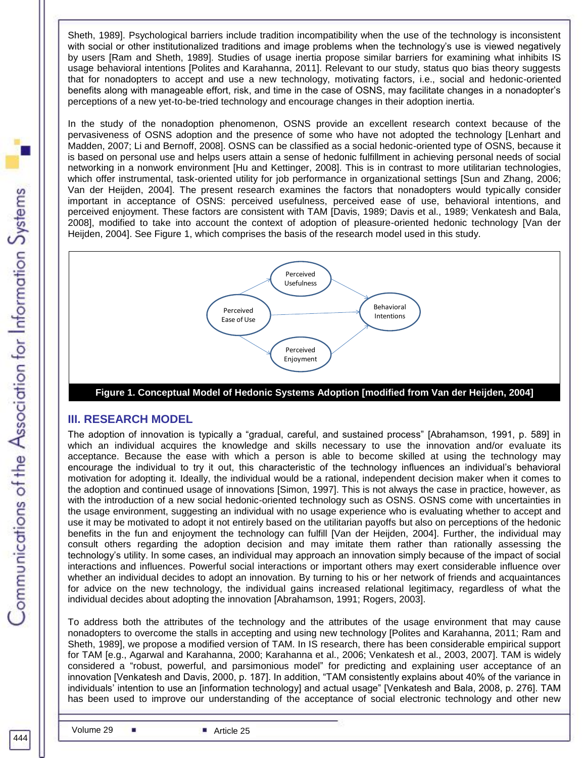Sheth, 1989]. Psychological barriers include tradition incompatibility when the use of the technology is inconsistent with social or other institutionalized traditions and image problems when the technology's use is viewed negatively by users [Ram and Sheth, 1989]. Studies of usage inertia propose similar barriers for examining what inhibits IS usage behavioral intentions [Polites and Karahanna, 2011]. Relevant to our study, status quo bias theory suggests that for nonadopters to accept and use a new technology, motivating factors, i.e., social and hedonic-oriented benefits along with manageable effort, risk, and time in the case of OSNS, may facilitate changes in a nonadopter's perceptions of a new yet-to-be-tried technology and encourage changes in their adoption inertia.

In the study of the nonadoption phenomenon, OSNS provide an excellent research context because of the pervasiveness of OSNS adoption and the presence of some who have not adopted the technology [Lenhart and Madden, 2007; Li and Bernoff, 2008]. OSNS can be classified as a social hedonic-oriented type of OSNS, because it is based on personal use and helps users attain a sense of hedonic fulfillment in achieving personal needs of social networking in a nonwork environment [Hu and Kettinger, 2008]. This is in contrast to more utilitarian technologies, which offer instrumental, task-oriented utility for job performance in organizational settings [Sun and Zhang, 2006; Van der Heijden, 2004]. The present research examines the factors that nonadopters would typically consider important in acceptance of OSNS: perceived usefulness, perceived ease of use, behavioral intentions, and perceived enjoyment. These factors are consistent with TAM [Davis, 1989; Davis et al., 1989; Venkatesh and Bala, 2008], modified to take into account the context of adoption of pleasure-oriented hedonic technology [Van der Heijden, 2004]. See Figure 1, which comprises the basis of the research model used in this study.



**Figure 1. Conceptual Model of Hedonic Systems Adoption [modified from Van der Heijden, 2004]**

#### **III. RESEARCH MODEL**

The adoption of innovation is typically a "gradual, careful, and sustained process" [Abrahamson, 1991, p. 589] in which an individual acquires the knowledge and skills necessary to use the innovation and/or evaluate its acceptance. Because the ease with which a person is able to become skilled at using the technology may encourage the individual to try it out, this characteristic of the technology influences an individual's behavioral motivation for adopting it. Ideally, the individual would be a rational, independent decision maker when it comes to the adoption and continued usage of innovations [Simon, 1997]. This is not always the case in practice, however, as with the introduction of a new social hedonic-oriented technology such as OSNS. OSNS come with uncertainties in the usage environment, suggesting an individual with no usage experience who is evaluating whether to accept and use it may be motivated to adopt it not entirely based on the utilitarian payoffs but also on perceptions of the hedonic benefits in the fun and enjoyment the technology can fulfill [Van der Heijden, 2004]. Further, the individual may consult others regarding the adoption decision and may imitate them rather than rationally assessing the technology's utility. In some cases, an individual may approach an innovation simply because of the impact of social interactions and influences. Powerful social interactions or important others may exert considerable influence over whether an individual decides to adopt an innovation. By turning to his or her network of friends and acquaintances for advice on the new technology, the individual gains increased relational legitimacy, regardless of what the individual decides about adopting the innovation [Abrahamson, 1991; Rogers, 2003].

To address both the attributes of the technology and the attributes of the usage environment that may cause nonadopters to overcome the stalls in accepting and using new technology [Polites and Karahanna, 2011; Ram and Sheth, 1989], we propose a modified version of TAM. In IS research, there has been considerable empirical support for TAM [e.g., Agarwal and Karahanna, 2000; Karahanna et al., 2006; Venkatesh et al., 2003, 2007]. TAM is widely considered a "robust, powerful, and parsimonious model" for predicting and explaining user acceptance of an innovation [Venkatesh and Davis, 2000, p. 187]. In addition, "TAM consistently explains about 40% of the variance in individuals' intention to use an [information technology] and actual usage" [Venkatesh and Bala, 2008, p. 276]. TAM has been used to improve our understanding of the acceptance of social electronic technology and other new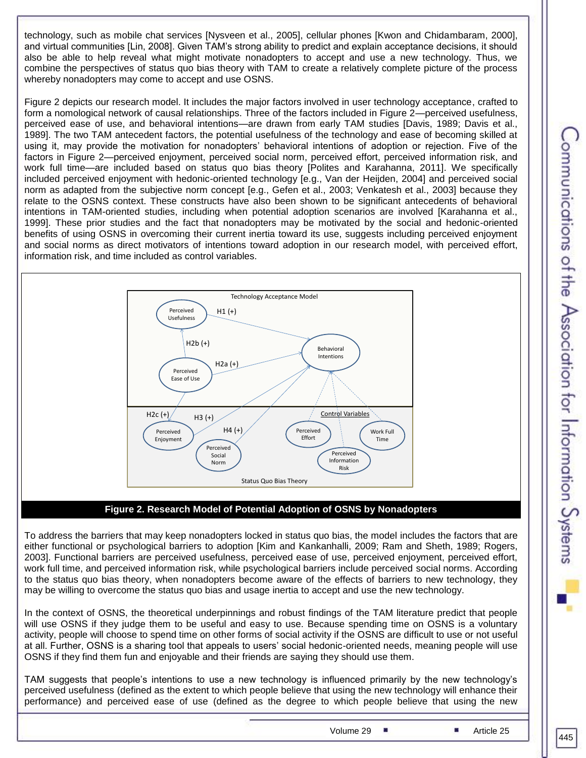technology, such as mobile chat services [Nysveen et al., 2005], cellular phones [Kwon and Chidambaram, 2000], and virtual communities [Lin, 2008]. Given TAM's strong ability to predict and explain acceptance decisions, it should also be able to help reveal what might motivate nonadopters to accept and use a new technology. Thus, we combine the perspectives of status quo bias theory with TAM to create a relatively complete picture of the process whereby nonadopters may come to accept and use OSNS.

Figure 2 depicts our research model. It includes the major factors involved in user technology acceptance, crafted to form a nomological network of causal relationships. Three of the factors included in Figure 2—perceived usefulness, perceived ease of use, and behavioral intentions—are drawn from early TAM studies [Davis, 1989; Davis et al., 1989]. The two TAM antecedent factors, the potential usefulness of the technology and ease of becoming skilled at using it, may provide the motivation for nonadopters' behavioral intentions of adoption or rejection. Five of the factors in Figure 2—perceived enjoyment, perceived social norm, perceived effort, perceived information risk, and work full time—are included based on status quo bias theory [Polites and Karahanna, 2011]. We specifically included perceived enjoyment with hedonic-oriented technology [e.g., Van der Heijden, 2004] and perceived social norm as adapted from the subjective norm concept [e.g., Gefen et al., 2003; Venkatesh et al., 2003] because they relate to the OSNS context. These constructs have also been shown to be significant antecedents of behavioral intentions in TAM-oriented studies, including when potential adoption scenarios are involved [Karahanna et al., 1999]. These prior studies and the fact that nonadopters may be motivated by the social and hedonic-oriented benefits of using OSNS in overcoming their current inertia toward its use, suggests including perceived enjoyment and social norms as direct motivators of intentions toward adoption in our research model, with perceived effort, information risk, and time included as control variables.



#### **Figure 2. Research Model of Potential Adoption of OSNS by Nonadopters**

To address the barriers that may keep nonadopters locked in status quo bias, the model includes the factors that are either functional or psychological barriers to adoption [Kim and Kankanhalli, 2009; Ram and Sheth, 1989; Rogers, 2003]. Functional barriers are perceived usefulness, perceived ease of use, perceived enjoyment, perceived effort, work full time, and perceived information risk, while psychological barriers include perceived social norms. According to the status quo bias theory, when nonadopters become aware of the effects of barriers to new technology, they may be willing to overcome the status quo bias and usage inertia to accept and use the new technology.

In the context of OSNS, the theoretical underpinnings and robust findings of the TAM literature predict that people will use OSNS if they judge them to be useful and easy to use. Because spending time on OSNS is a voluntary activity, people will choose to spend time on other forms of social activity if the OSNS are difficult to use or not useful at all. Further, OSNS is a sharing tool that appeals to users' social hedonic-oriented needs, meaning people will use OSNS if they find them fun and enjoyable and their friends are saying they should use them.

TAM suggests that people's intentions to use a new technology is influenced primarily by the new technology's perceived usefulness (defined as the extent to which people believe that using the new technology will enhance their performance) and perceived ease of use (defined as the degree to which people believe that using the new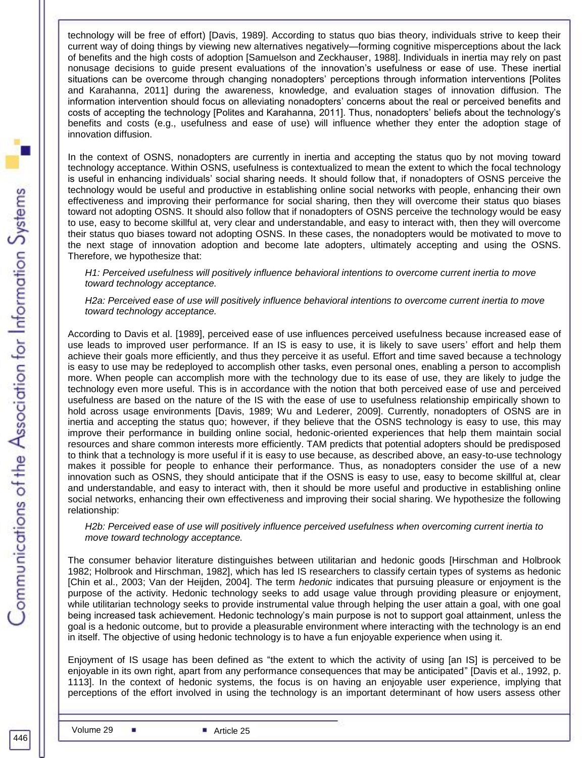technology will be free of effort) [Davis, 1989]. According to status quo bias theory, individuals strive to keep their current way of doing things by viewing new alternatives negatively—forming cognitive misperceptions about the lack of benefits and the high costs of adoption [Samuelson and Zeckhauser, 1988]. Individuals in inertia may rely on past nonusage decisions to guide present evaluations of the innovation's usefulness or ease of use. These inertial situations can be overcome through changing nonadopters' perceptions through information interventions [Polites and Karahanna, 2011] during the awareness, knowledge, and evaluation stages of innovation diffusion. The information intervention should focus on alleviating nonadopters' concerns about the real or perceived benefits and costs of accepting the technology [Polites and Karahanna, 2011]. Thus, nonadopters' beliefs about the technology's benefits and costs (e.g., usefulness and ease of use) will influence whether they enter the adoption stage of innovation diffusion.

In the context of OSNS, nonadopters are currently in inertia and accepting the status quo by not moving toward technology acceptance. Within OSNS, usefulness is contextualized to mean the extent to which the focal technology is useful in enhancing individuals' social sharing needs. It should follow that, if nonadopters of OSNS perceive the technology would be useful and productive in establishing online social networks with people, enhancing their own effectiveness and improving their performance for social sharing, then they will overcome their status quo biases toward not adopting OSNS. It should also follow that if nonadopters of OSNS perceive the technology would be easy to use, easy to become skillful at, very clear and understandable, and easy to interact with, then they will overcome their status quo biases toward not adopting OSNS. In these cases, the nonadopters would be motivated to move to the next stage of innovation adoption and become late adopters, ultimately accepting and using the OSNS. Therefore, we hypothesize that:

*H1: Perceived usefulness will positively influence behavioral intentions to overcome current inertia to move toward technology acceptance.*

*H2a: Perceived ease of use will positively influence behavioral intentions to overcome current inertia to move toward technology acceptance.*

According to Davis et al. [1989], perceived ease of use influences perceived usefulness because increased ease of use leads to improved user performance. If an IS is easy to use, it is likely to save users' effort and help them achieve their goals more efficiently, and thus they perceive it as useful. Effort and time saved because a technology is easy to use may be redeployed to accomplish other tasks, even personal ones, enabling a person to accomplish more. When people can accomplish more with the technology due to its ease of use, they are likely to judge the technology even more useful. This is in accordance with the notion that both perceived ease of use and perceived usefulness are based on the nature of the IS with the ease of use to usefulness relationship empirically shown to hold across usage environments [Davis, 1989; Wu and Lederer, 2009]. Currently, nonadopters of OSNS are in inertia and accepting the status quo; however, if they believe that the OSNS technology is easy to use, this may improve their performance in building online social, hedonic-oriented experiences that help them maintain social resources and share common interests more efficiently. TAM predicts that potential adopters should be predisposed to think that a technology is more useful if it is easy to use because, as described above, an easy-to-use technology makes it possible for people to enhance their performance. Thus, as nonadopters consider the use of a new innovation such as OSNS, they should anticipate that if the OSNS is easy to use, easy to become skillful at, clear and understandable, and easy to interact with, then it should be more useful and productive in establishing online social networks, enhancing their own effectiveness and improving their social sharing. We hypothesize the following relationship:

*H2b: Perceived ease of use will positively influence perceived usefulness when overcoming current inertia to move toward technology acceptance.*

The consumer behavior literature distinguishes between utilitarian and hedonic goods [Hirschman and Holbrook 1982; Holbrook and Hirschman, 1982], which has led IS researchers to classify certain types of systems as hedonic [Chin et al., 2003; Van der Heijden, 2004]. The term *hedonic* indicates that pursuing pleasure or enjoyment is the purpose of the activity. Hedonic technology seeks to add usage value through providing pleasure or enjoyment, while utilitarian technology seeks to provide instrumental value through helping the user attain a goal, with one goal being increased task achievement. Hedonic technology's main purpose is not to support goal attainment, unless the goal is a hedonic outcome, but to provide a pleasurable environment where interacting with the technology is an end in itself. The objective of using hedonic technology is to have a fun enjoyable experience when using it.

Enjoyment of IS usage has been defined as "the extent to which the activity of using [an IS] is perceived to be enjoyable in its own right, apart from any performance consequences that may be anticipated" [Davis et al., 1992, p. 1113]. In the context of hedonic systems, the focus is on having an enjoyable user experience, implying that perceptions of the effort involved in using the technology is an important determinant of how users assess other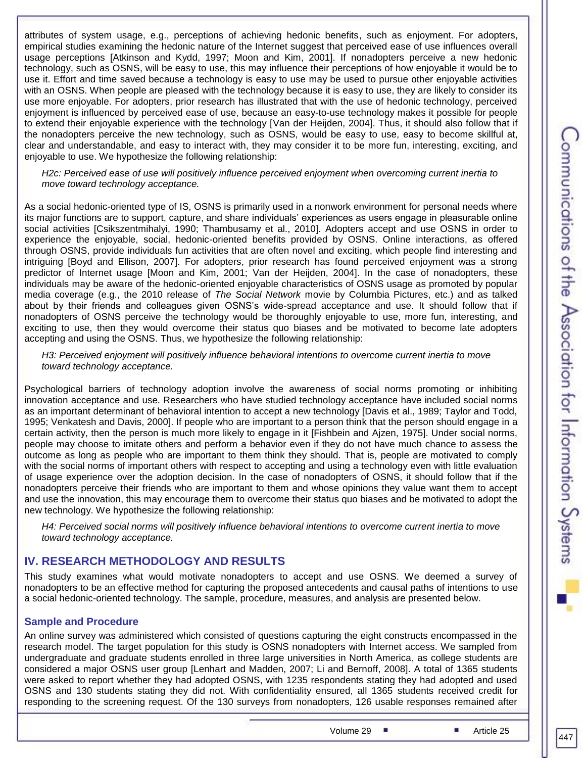attributes of system usage, e.g., perceptions of achieving hedonic benefits, such as enjoyment. For adopters, empirical studies examining the hedonic nature of the Internet suggest that perceived ease of use influences overall usage perceptions [Atkinson and Kydd, 1997; Moon and Kim, 2001]. If nonadopters perceive a new hedonic technology, such as OSNS, will be easy to use, this may influence their perceptions of how enjoyable it would be to use it. Effort and time saved because a technology is easy to use may be used to pursue other enjoyable activities with an OSNS. When people are pleased with the technology because it is easy to use, they are likely to consider its use more enjoyable. For adopters, prior research has illustrated that with the use of hedonic technology, perceived enjoyment is influenced by perceived ease of use, because an easy-to-use technology makes it possible for people to extend their enjoyable experience with the technology [Van der Heijden, 2004]. Thus, it should also follow that if the nonadopters perceive the new technology, such as OSNS, would be easy to use, easy to become skillful at, clear and understandable, and easy to interact with, they may consider it to be more fun, interesting, exciting, and enjoyable to use. We hypothesize the following relationship:

*H2c: Perceived ease of use will positively influence perceived enjoyment when overcoming current inertia to move toward technology acceptance.*

As a social hedonic-oriented type of IS, OSNS is primarily used in a nonwork environment for personal needs where its major functions are to support, capture, and share individuals' experiences as users engage in pleasurable online social activities [Csikszentmihalyi, 1990; Thambusamy et al., 2010]. Adopters accept and use OSNS in order to experience the enjoyable, social, hedonic-oriented benefits provided by OSNS. Online interactions, as offered through OSNS, provide individuals fun activities that are often novel and exciting, which people find interesting and intriguing [Boyd and Ellison, 2007]. For adopters, prior research has found perceived enjoyment was a strong predictor of Internet usage [Moon and Kim, 2001; Van der Heijden, 2004]. In the case of nonadopters, these individuals may be aware of the hedonic-oriented enjoyable characteristics of OSNS usage as promoted by popular media coverage (e.g., the 2010 release of *The Social Network* movie by Columbia Pictures, etc.) and as talked about by their friends and colleagues given OSNS's wide-spread acceptance and use. It should follow that if nonadopters of OSNS perceive the technology would be thoroughly enjoyable to use, more fun, interesting, and exciting to use, then they would overcome their status quo biases and be motivated to become late adopters accepting and using the OSNS. Thus, we hypothesize the following relationship:

*H3: Perceived enjoyment will positively influence behavioral intentions to overcome current inertia to move toward technology acceptance.*

Psychological barriers of technology adoption involve the awareness of social norms promoting or inhibiting innovation acceptance and use. Researchers who have studied technology acceptance have included social norms as an important determinant of behavioral intention to accept a new technology [Davis et al., 1989; Taylor and Todd, 1995; Venkatesh and Davis, 2000]. If people who are important to a person think that the person should engage in a certain activity, then the person is much more likely to engage in it [Fishbein and Ajzen, 1975]. Under social norms, people may choose to imitate others and perform a behavior even if they do not have much chance to assess the outcome as long as people who are important to them think they should. That is, people are motivated to comply with the social norms of important others with respect to accepting and using a technology even with little evaluation of usage experience over the adoption decision. In the case of nonadopters of OSNS, it should follow that if the nonadopters perceive their friends who are important to them and whose opinions they value want them to accept and use the innovation, this may encourage them to overcome their status quo biases and be motivated to adopt the new technology. We hypothesize the following relationship:

*H4: Perceived social norms will positively influence behavioral intentions to overcome current inertia to move toward technology acceptance.*

#### **IV. RESEARCH METHODOLOGY AND RESULTS**

This study examines what would motivate nonadopters to accept and use OSNS. We deemed a survey of nonadopters to be an effective method for capturing the proposed antecedents and causal paths of intentions to use a social hedonic-oriented technology. The sample, procedure, measures, and analysis are presented below.

#### **Sample and Procedure**

An online survey was administered which consisted of questions capturing the eight constructs encompassed in the research model. The target population for this study is OSNS nonadopters with Internet access. We sampled from undergraduate and graduate students enrolled in three large universities in North America, as college students are considered a major OSNS user group [Lenhart and Madden, 2007; Li and Bernoff, 2008]. A total of 1365 students were asked to report whether they had adopted OSNS, with 1235 respondents stating they had adopted and used OSNS and 130 students stating they did not. With confidentiality ensured, all 1365 students received credit for responding to the screening request. Of the 130 surveys from nonadopters, 126 usable responses remained after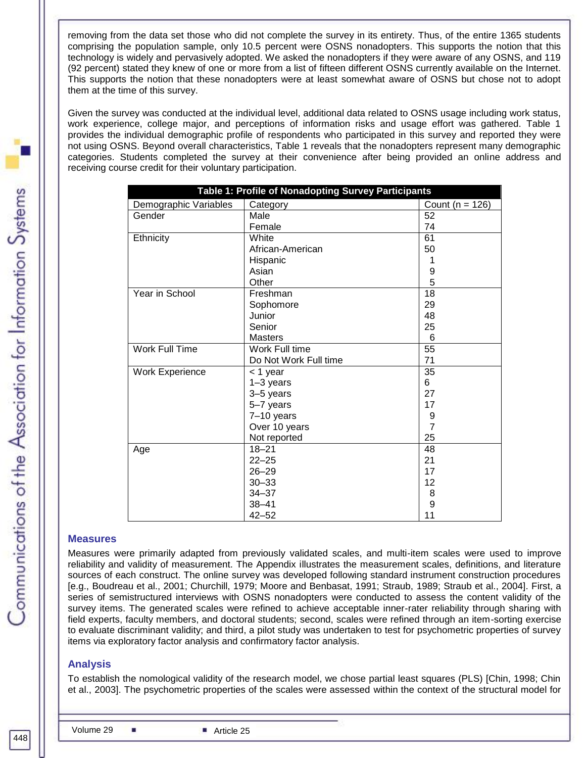removing from the data set those who did not complete the survey in its entirety. Thus, of the entire 1365 students comprising the population sample, only 10.5 percent were OSNS nonadopters. This supports the notion that this technology is widely and pervasively adopted. We asked the nonadopters if they were aware of any OSNS, and 119 (92 percent) stated they knew of one or more from a list of fifteen different OSNS currently available on the Internet. This supports the notion that these nonadopters were at least somewhat aware of OSNS but chose not to adopt them at the time of this survey.

Given the survey was conducted at the individual level, additional data related to OSNS usage including work status, work experience, college major, and perceptions of information risks and usage effort was gathered. Table 1 provides the individual demographic profile of respondents who participated in this survey and reported they were not using OSNS. Beyond overall characteristics, Table 1 reveals that the nonadopters represent many demographic categories. Students completed the survey at their convenience after being provided an online address and receiving course credit for their voluntary participation.

| Table 1: Profile of Nonadopting Survey Participants |                       |                     |  |  |  |
|-----------------------------------------------------|-----------------------|---------------------|--|--|--|
| Demographic Variables                               | Category              | Count ( $n = 126$ ) |  |  |  |
| Gender                                              | Male                  | 52                  |  |  |  |
|                                                     | Female                | 74                  |  |  |  |
| Ethnicity                                           | White                 | 61                  |  |  |  |
|                                                     | African-American      | 50                  |  |  |  |
|                                                     | Hispanic              |                     |  |  |  |
|                                                     | Asian                 | 9                   |  |  |  |
|                                                     | Other                 | 5                   |  |  |  |
| Year in School                                      | Freshman              | 18                  |  |  |  |
|                                                     | Sophomore             | 29                  |  |  |  |
|                                                     | Junior                | 48                  |  |  |  |
|                                                     | Senior                | 25                  |  |  |  |
|                                                     | <b>Masters</b>        | 6                   |  |  |  |
| Work Full Time                                      | Work Full time        | 55                  |  |  |  |
|                                                     | Do Not Work Full time | 71                  |  |  |  |
| <b>Work Experience</b>                              | < 1 year              | 35                  |  |  |  |
|                                                     | $1-3$ years           | 6                   |  |  |  |
|                                                     | 3-5 years             | 27                  |  |  |  |
|                                                     | 5-7 years             | 17                  |  |  |  |
|                                                     | 7-10 years            | 9                   |  |  |  |
|                                                     | Over 10 years         | $\overline{7}$      |  |  |  |
|                                                     | Not reported          | 25                  |  |  |  |
| Age                                                 | $18 - 21$             | 48                  |  |  |  |
|                                                     | $22 - 25$             | 21                  |  |  |  |
|                                                     | $26 - 29$             | 17                  |  |  |  |
|                                                     | $30 - 33$             | 12                  |  |  |  |
|                                                     | $34 - 37$             | 8                   |  |  |  |
|                                                     | $38 - 41$             | 9                   |  |  |  |
|                                                     | $42 - 52$             | 11                  |  |  |  |

#### **Measures**

Measures were primarily adapted from previously validated scales, and multi-item scales were used to improve reliability and validity of measurement. The Appendix illustrates the measurement scales, definitions, and literature sources of each construct. The online survey was developed following standard instrument construction procedures [e.g., Boudreau et al., 2001; Churchill, 1979; Moore and Benbasat, 1991; Straub, 1989; Straub et al., 2004]. First, a series of semistructured interviews with OSNS nonadopters were conducted to assess the content validity of the survey items. The generated scales were refined to achieve acceptable inner-rater reliability through sharing with field experts, faculty members, and doctoral students; second, scales were refined through an item-sorting exercise to evaluate discriminant validity; and third, a pilot study was undertaken to test for psychometric properties of survey items via exploratory factor analysis and confirmatory factor analysis.

#### **Analysis**

To establish the nomological validity of the research model, we chose partial least squares (PLS) [Chin, 1998; Chin et al., 2003]. The psychometric properties of the scales were assessed within the context of the structural model for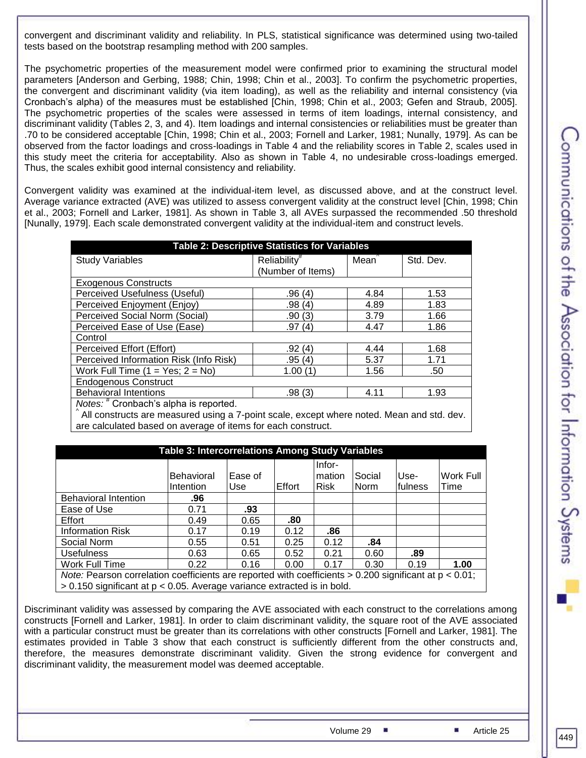convergent and discriminant validity and reliability. In PLS, statistical significance was determined using two-tailed tests based on the bootstrap resampling method with 200 samples.

The psychometric properties of the measurement model were confirmed prior to examining the structural model parameters [Anderson and Gerbing, 1988; Chin, 1998; Chin et al., 2003]. To confirm the psychometric properties, the convergent and discriminant validity (via item loading), as well as the reliability and internal consistency (via Cronbach's alpha) of the measures must be established [Chin, 1998; Chin et al., 2003; Gefen and Straub, 2005]. The psychometric properties of the scales were assessed in terms of item loadings, internal consistency, and discriminant validity (Tables 2, 3, and 4). Item loadings and internal consistencies or reliabilities must be greater than .70 to be considered acceptable [Chin, 1998; Chin et al., 2003; Fornell and Larker, 1981; Nunally, 1979]. As can be observed from the factor loadings and cross-loadings in Table 4 and the reliability scores in Table 2, scales used in this study meet the criteria for acceptability. Also as shown in Table 4, no undesirable cross-loadings emerged. Thus, the scales exhibit good internal consistency and reliability.

Convergent validity was examined at the individual-item level, as discussed above, and at the construct level. Average variance extracted (AVE) was utilized to assess convergent validity at the construct level [Chin, 1998; Chin et al., 2003; Fornell and Larker, 1981]. As shown in Table 3, all AVEs surpassed the recommended .50 threshold [Nunally, 1979]. Each scale demonstrated convergent validity at the individual-item and construct levels.

|                                                                                          | <b>Table 2: Descriptive Statistics for Variables</b> |                   |           |
|------------------------------------------------------------------------------------------|------------------------------------------------------|-------------------|-----------|
| <b>Study Variables</b>                                                                   | $Reliability^{\#}$                                   | Mean <sup>^</sup> | Std. Dev. |
|                                                                                          | (Number of Items)                                    |                   |           |
| <b>Exogenous Constructs</b>                                                              |                                                      |                   |           |
| Perceived Usefulness (Useful)                                                            | .96(4)                                               | 4.84              | 1.53      |
| Perceived Enjoyment (Enjoy)                                                              | .98(4)                                               | 4.89              | 1.83      |
| Perceived Social Norm (Social)                                                           | .90(3)                                               | 3.79              | 1.66      |
| Perceived Ease of Use (Ease)                                                             | .97 (4)                                              | 4.47              | 1.86      |
| Control                                                                                  |                                                      |                   |           |
| Perceived Effort (Effort)                                                                | .92(4)                                               | 4.44              | 1.68      |
| Perceived Information Risk (Info Risk)                                                   | .95(4)                                               | 5.37              | 1.71      |
| Work Full Time $(1 = Yes; 2 = No)$                                                       | 1.00(1)                                              | 1.56              | .50       |
| <b>Endogenous Construct</b>                                                              |                                                      |                   |           |
| <b>Behavioral Intentions</b>                                                             | .98 (3)                                              | 4.11              | 1.93      |
| Notes: <i>#</i> Cronbach's alpha is reported.                                            |                                                      |                   |           |
| All constructs are measured using a 7-point scale, except where noted. Mean and std, dev |                                                      |                   |           |

All constructs are measured using a 7-point scale, except where noted. Mean and std. dev. are calculated based on average of items for each construct.

|                                                                                                                    | Table 3: Intercorrelations Among Study Variables |         |        |             |        |         |           |
|--------------------------------------------------------------------------------------------------------------------|--------------------------------------------------|---------|--------|-------------|--------|---------|-----------|
|                                                                                                                    |                                                  |         |        | Infor-      |        |         |           |
|                                                                                                                    | Behavioral                                       | Ease of |        | mation      | Social | Use-    | Work Full |
|                                                                                                                    | Intention                                        | Use     | Effort | <b>Risk</b> | Norm   | fulness | Time      |
| <b>Behavioral Intention</b>                                                                                        | .96                                              |         |        |             |        |         |           |
| Ease of Use                                                                                                        | 0.71                                             | .93     |        |             |        |         |           |
| Effort                                                                                                             | 0.49                                             | 0.65    | .80    |             |        |         |           |
| <b>Information Risk</b>                                                                                            | 0.17                                             | 0.19    | 0.12   | .86         |        |         |           |
| Social Norm                                                                                                        | 0.55                                             | 0.51    | 0.25   | 0.12        | .84    |         |           |
| <b>Usefulness</b>                                                                                                  | 0.63                                             | 0.65    | 0.52   | 0.21        | 0.60   | .89     |           |
| Work Full Time                                                                                                     | 0.22                                             | 0.16    | 0.00   | 0.17        | 0.30   | 0.19    | 1.00      |
| <i>Note:</i> Pearson correlation coefficients are reported with coefficients $> 0.200$ significant at $p < 0.01$ ; |                                                  |         |        |             |        |         |           |
| $> 0.150$ significant at $p < 0.05$ . Average variance extracted is in bold.                                       |                                                  |         |        |             |        |         |           |

Discriminant validity was assessed by comparing the AVE associated with each construct to the correlations among constructs [Fornell and Larker, 1981]. In order to claim discriminant validity, the square root of the AVE associated with a particular construct must be greater than its correlations with other constructs [Fornell and Larker, 1981]. The estimates provided in Table 3 show that each construct is sufficiently different from the other constructs and, therefore, the measures demonstrate discriminant validity. Given the strong evidence for convergent and discriminant validity, the measurement model was deemed acceptable.

Volume 29 ■ Article 25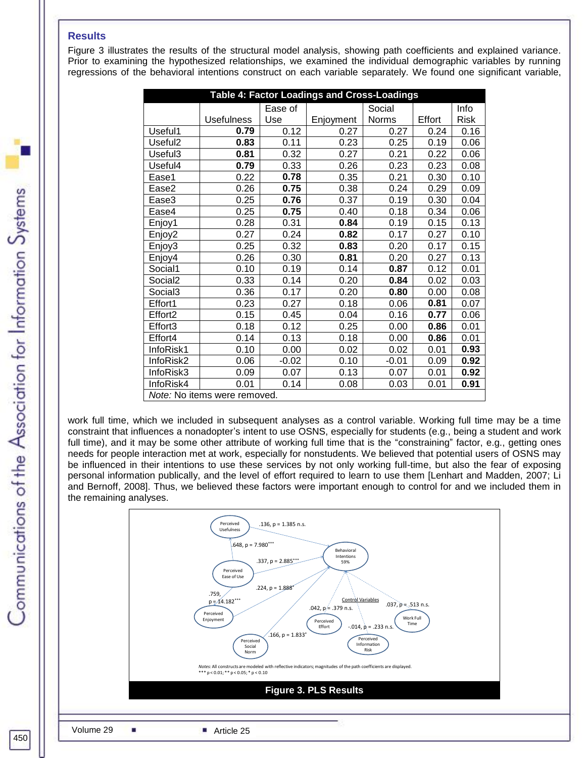#### **Results**

Figure 3 illustrates the results of the structural model analysis, showing path coefficients and explained variance. Prior to examining the hypothesized relationships, we examined the individual demographic variables by running regressions of the behavioral intentions construct on each variable separately. We found one significant variable,

|                              | Table 4: Factor Loadings and Cross-Loadings |         |           |         |        |             |
|------------------------------|---------------------------------------------|---------|-----------|---------|--------|-------------|
|                              |                                             | Ease of |           | Social  |        | Info        |
|                              | <b>Usefulness</b>                           | Use     | Enjoyment | Norms   | Effort | <b>Risk</b> |
| Useful1                      | 0.79                                        | 0.12    | 0.27      | 0.27    | 0.24   | 0.16        |
| Useful <sub>2</sub>          | 0.83                                        | 0.11    | 0.23      | 0.25    | 0.19   | 0.06        |
| Useful3                      | 0.81                                        | 0.32    | 0.27      | 0.21    | 0.22   | 0.06        |
| Useful4                      | 0.79                                        | 0.33    | 0.26      | 0.23    | 0.23   | 0.08        |
| Ease1                        | 0.22                                        | 0.78    | 0.35      | 0.21    | 0.30   | 0.10        |
| Ease2                        | 0.26                                        | 0.75    | 0.38      | 0.24    | 0.29   | 0.09        |
| Ease3                        | 0.25                                        | 0.76    | 0.37      | 0.19    | 0.30   | 0.04        |
| Ease4                        | 0.25                                        | 0.75    | 0.40      | 0.18    | 0.34   | 0.06        |
| Enjoy1                       | 0.28                                        | 0.31    | 0.84      | 0.19    | 0.15   | 0.13        |
| Enjoy2                       | 0.27                                        | 0.24    | 0.82      | 0.17    | 0.27   | 0.10        |
| Enjoy3                       | 0.25                                        | 0.32    | 0.83      | 0.20    | 0.17   | 0.15        |
| Enjoy4                       | 0.26                                        | 0.30    | 0.81      | 0.20    | 0.27   | 0.13        |
| Social1                      | 0.10                                        | 0.19    | 0.14      | 0.87    | 0.12   | 0.01        |
| Social2                      | 0.33                                        | 0.14    | 0.20      | 0.84    | 0.02   | 0.03        |
| Social <sub>3</sub>          | 0.36                                        | 0.17    | 0.20      | 0.80    | 0.00   | 0.08        |
| Effort1                      | 0.23                                        | 0.27    | 0.18      | 0.06    | 0.81   | 0.07        |
| Effort <sub>2</sub>          | 0.15                                        | 0.45    | 0.04      | 0.16    | 0.77   | 0.06        |
| Effort3                      | 0.18                                        | 0.12    | 0.25      | 0.00    | 0.86   | 0.01        |
| Effort4                      | 0.14                                        | 0.13    | 0.18      | 0.00    | 0.86   | 0.01        |
| InfoRisk1                    | 0.10                                        | 0.00    | 0.02      | 0.02    | 0.01   | 0.93        |
| InfoRisk2                    | 0.06                                        | $-0.02$ | 0.10      | $-0.01$ | 0.09   | 0.92        |
| InfoRisk3                    | 0.09                                        | 0.07    | 0.13      | 0.07    | 0.01   | 0.92        |
| InfoRisk4                    | 0.01                                        | 0.14    | 0.08      | 0.03    | 0.01   | 0.91        |
| Note: No items were removed. |                                             |         |           |         |        |             |

work full time, which we included in subsequent analyses as a control variable. Working full time may be a time constraint that influences a nonadopter's intent to use OSNS, especially for students (e.g., being a student and work full time), and it may be some other attribute of working full time that is the "constraining" factor, e.g., getting ones needs for people interaction met at work, especially for nonstudents. We believed that potential users of OSNS may be influenced in their intentions to use these services by not only working full-time, but also the fear of exposing personal information publically, and the level of effort required to learn to use them [Lenhart and Madden, 2007; Li and Bernoff, 2008]. Thus, we believed these factors were important enough to control for and we included them in the remaining analyses.

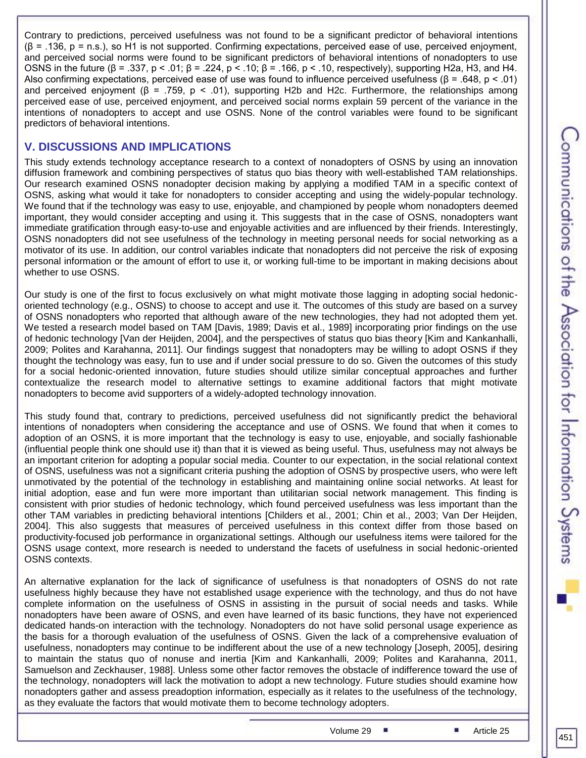Contrary to predictions, perceived usefulness was not found to be a significant predictor of behavioral intentions  $(\beta = .136, p = n.s.)$ , so H1 is not supported. Confirming expectations, perceived ease of use, perceived enjoyment, and perceived social norms were found to be significant predictors of behavioral intentions of nonadopters to use OSNS in the future (β = .337, p < .01; β = .224, p < .10; β = .166, p < .10, respectively), supporting H2a, H3, and H4. Also confirming expectations, perceived ease of use was found to influence perceived usefulness ( $\beta$  = .648, p < .01) and perceived enjoyment ( $\beta$  = .759,  $p$  < .01), supporting H2b and H2c. Furthermore, the relationships among perceived ease of use, perceived enjoyment, and perceived social norms explain 59 percent of the variance in the intentions of nonadopters to accept and use OSNS. None of the control variables were found to be significant predictors of behavioral intentions.

#### **V. DISCUSSIONS AND IMPLICATIONS**

This study extends technology acceptance research to a context of nonadopters of OSNS by using an innovation diffusion framework and combining perspectives of status quo bias theory with well-established TAM relationships. Our research examined OSNS nonadopter decision making by applying a modified TAM in a specific context of OSNS, asking what would it take for nonadopters to consider accepting and using the widely-popular technology. We found that if the technology was easy to use, enjoyable, and championed by people whom nonadopters deemed important, they would consider accepting and using it. This suggests that in the case of OSNS, nonadopters want immediate gratification through easy-to-use and enjoyable activities and are influenced by their friends. Interestingly, OSNS nonadopters did not see usefulness of the technology in meeting personal needs for social networking as a motivator of its use. In addition, our control variables indicate that nonadopters did not perceive the risk of exposing personal information or the amount of effort to use it, or working full-time to be important in making decisions about whether to use OSNS.

Our study is one of the first to focus exclusively on what might motivate those lagging in adopting social hedonicoriented technology (e.g., OSNS) to choose to accept and use it. The outcomes of this study are based on a survey of OSNS nonadopters who reported that although aware of the new technologies, they had not adopted them yet. We tested a research model based on TAM [Davis, 1989; Davis et al., 1989] incorporating prior findings on the use of hedonic technology [Van der Heijden, 2004], and the perspectives of status quo bias theory [Kim and Kankanhalli, 2009; Polites and Karahanna, 2011]. Our findings suggest that nonadopters may be willing to adopt OSNS if they thought the technology was easy, fun to use and if under social pressure to do so. Given the outcomes of this study for a social hedonic-oriented innovation, future studies should utilize similar conceptual approaches and further contextualize the research model to alternative settings to examine additional factors that might motivate nonadopters to become avid supporters of a widely-adopted technology innovation.

This study found that, contrary to predictions, perceived usefulness did not significantly predict the behavioral intentions of nonadopters when considering the acceptance and use of OSNS. We found that when it comes to adoption of an OSNS, it is more important that the technology is easy to use, enjoyable, and socially fashionable (influential people think one should use it) than that it is viewed as being useful. Thus, usefulness may not always be an important criterion for adopting a popular social media. Counter to our expectation, in the social relational context of OSNS, usefulness was not a significant criteria pushing the adoption of OSNS by prospective users, who were left unmotivated by the potential of the technology in establishing and maintaining online social networks. At least for initial adoption, ease and fun were more important than utilitarian social network management. This finding is consistent with prior studies of hedonic technology, which found perceived usefulness was less important than the other TAM variables in predicting behavioral intentions [Childers et al., 2001; Chin et al., 2003; Van Der Heijden, 2004]. This also suggests that measures of perceived usefulness in this context differ from those based on productivity-focused job performance in organizational settings. Although our usefulness items were tailored for the OSNS usage context, more research is needed to understand the facets of usefulness in social hedonic-oriented OSNS contexts.

An alternative explanation for the lack of significance of usefulness is that nonadopters of OSNS do not rate usefulness highly because they have not established usage experience with the technology, and thus do not have complete information on the usefulness of OSNS in assisting in the pursuit of social needs and tasks. While nonadopters have been aware of OSNS, and even have learned of its basic functions, they have not experienced dedicated hands-on interaction with the technology. Nonadopters do not have solid personal usage experience as the basis for a thorough evaluation of the usefulness of OSNS. Given the lack of a comprehensive evaluation of usefulness, nonadopters may continue to be indifferent about the use of a new technology [Joseph, 2005], desiring to maintain the status quo of nonuse and inertia [Kim and Kankanhalli, 2009; Polites and Karahanna, 2011, Samuelson and Zeckhauser, 1988]. Unless some other factor removes the obstacle of indifference toward the use of the technology, nonadopters will lack the motivation to adopt a new technology. Future studies should examine how nonadopters gather and assess preadoption information, especially as it relates to the usefulness of the technology, as they evaluate the factors that would motivate them to become technology adopters.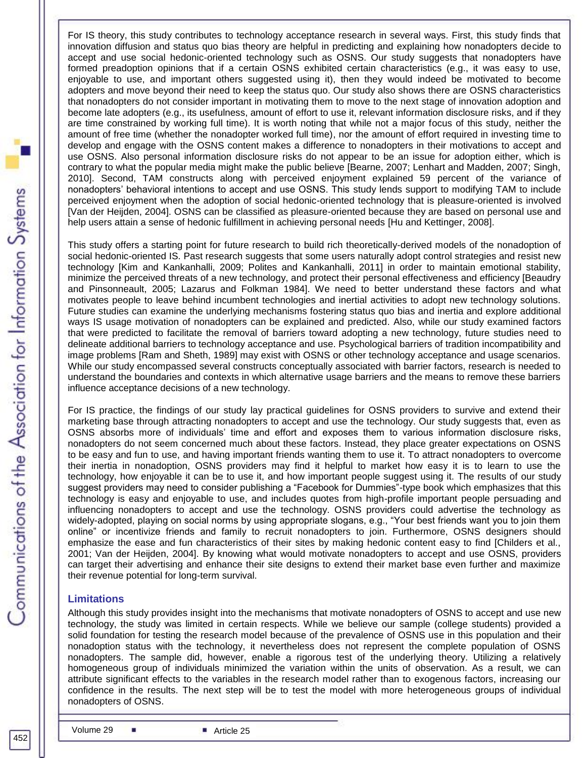For IS theory, this study contributes to technology acceptance research in several ways. First, this study finds that innovation diffusion and status quo bias theory are helpful in predicting and explaining how nonadopters decide to accept and use social hedonic-oriented technology such as OSNS. Our study suggests that nonadopters have formed preadoption opinions that if a certain OSNS exhibited certain characteristics (e.g., it was easy to use, enjoyable to use, and important others suggested using it), then they would indeed be motivated to become adopters and move beyond their need to keep the status quo. Our study also shows there are OSNS characteristics that nonadopters do not consider important in motivating them to move to the next stage of innovation adoption and become late adopters (e.g., its usefulness, amount of effort to use it, relevant information disclosure risks, and if they are time constrained by working full time). It is worth noting that while not a major focus of this study, neither the amount of free time (whether the nonadopter worked full time), nor the amount of effort required in investing time to develop and engage with the OSNS content makes a difference to nonadopters in their motivations to accept and use OSNS. Also personal information disclosure risks do not appear to be an issue for adoption either, which is contrary to what the popular media might make the public believe [Bearne, 2007; Lenhart and Madden, 2007; Singh, 2010]. Second, TAM constructs along with perceived enjoyment explained 59 percent of the variance of nonadopters' behavioral intentions to accept and use OSNS. This study lends support to modifying TAM to include perceived enjoyment when the adoption of social hedonic-oriented technology that is pleasure-oriented is involved [Van der Heijden, 2004]. OSNS can be classified as pleasure-oriented because they are based on personal use and help users attain a sense of hedonic fulfillment in achieving personal needs [Hu and Kettinger, 2008].

This study offers a starting point for future research to build rich theoretically-derived models of the nonadoption of social hedonic-oriented IS. Past research suggests that some users naturally adopt control strategies and resist new technology [Kim and Kankanhalli, 2009; Polites and Kankanhalli, 2011] in order to maintain emotional stability, minimize the perceived threats of a new technology, and protect their personal effectiveness and efficiency [Beaudry and Pinsonneault, 2005; Lazarus and Folkman 1984]. We need to better understand these factors and what motivates people to leave behind incumbent technologies and inertial activities to adopt new technology solutions. Future studies can examine the underlying mechanisms fostering status quo bias and inertia and explore additional ways IS usage motivation of nonadopters can be explained and predicted. Also, while our study examined factors that were predicted to facilitate the removal of barriers toward adopting a new technology, future studies need to delineate additional barriers to technology acceptance and use. Psychological barriers of tradition incompatibility and image problems [Ram and Sheth, 1989] may exist with OSNS or other technology acceptance and usage scenarios. While our study encompassed several constructs conceptually associated with barrier factors, research is needed to understand the boundaries and contexts in which alternative usage barriers and the means to remove these barriers influence acceptance decisions of a new technology.

For IS practice, the findings of our study lay practical guidelines for OSNS providers to survive and extend their marketing base through attracting nonadopters to accept and use the technology. Our study suggests that, even as OSNS absorbs more of individuals' time and effort and exposes them to various information disclosure risks, nonadopters do not seem concerned much about these factors. Instead, they place greater expectations on OSNS to be easy and fun to use, and having important friends wanting them to use it. To attract nonadopters to overcome their inertia in nonadoption, OSNS providers may find it helpful to market how easy it is to learn to use the technology, how enjoyable it can be to use it, and how important people suggest using it. The results of our study suggest providers may need to consider publishing a "Facebook for Dummies"-type book which emphasizes that this technology is easy and enjoyable to use, and includes quotes from high-profile important people persuading and influencing nonadopters to accept and use the technology. OSNS providers could advertise the technology as widely-adopted, playing on social norms by using appropriate slogans, e.g., "Your best friends want you to join them online‖ or incentivize friends and family to recruit nonadopters to join. Furthermore, OSNS designers should emphasize the ease and fun characteristics of their sites by making hedonic content easy to find [Childers et al., 2001; Van der Heijden, 2004]. By knowing what would motivate nonadopters to accept and use OSNS, providers can target their advertising and enhance their site designs to extend their market base even further and maximize their revenue potential for long-term survival.

#### **Limitations**

Although this study provides insight into the mechanisms that motivate nonadopters of OSNS to accept and use new technology, the study was limited in certain respects. While we believe our sample (college students) provided a solid foundation for testing the research model because of the prevalence of OSNS use in this population and their nonadoption status with the technology, it nevertheless does not represent the complete population of OSNS nonadopters. The sample did, however, enable a rigorous test of the underlying theory. Utilizing a relatively homogeneous group of individuals minimized the variation within the units of observation. As a result, we can attribute significant effects to the variables in the research model rather than to exogenous factors, increasing our confidence in the results. The next step will be to test the model with more heterogeneous groups of individual nonadopters of OSNS.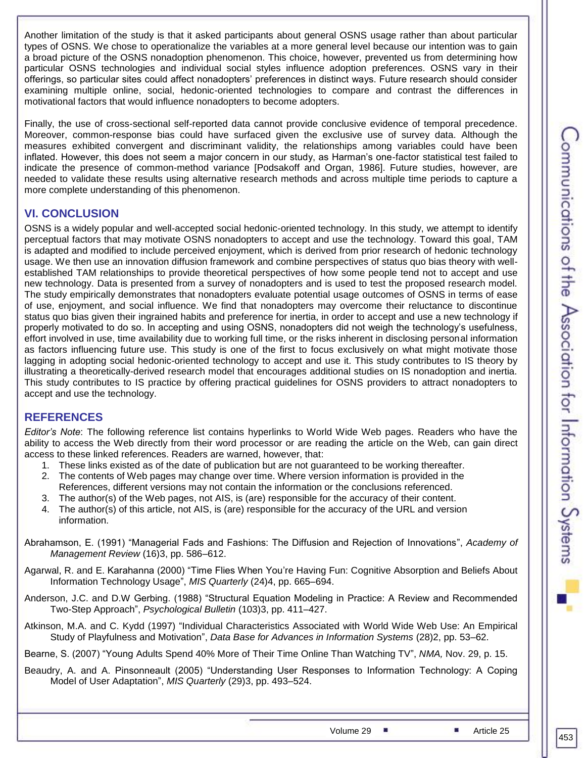Another limitation of the study is that it asked participants about general OSNS usage rather than about particular types of OSNS. We chose to operationalize the variables at a more general level because our intention was to gain a broad picture of the OSNS nonadoption phenomenon. This choice, however, prevented us from determining how particular OSNS technologies and individual social styles influence adoption preferences. OSNS vary in their offerings, so particular sites could affect nonadopters' preferences in distinct ways. Future research should consider examining multiple online, social, hedonic-oriented technologies to compare and contrast the differences in motivational factors that would influence nonadopters to become adopters.

Finally, the use of cross-sectional self-reported data cannot provide conclusive evidence of temporal precedence. Moreover, common-response bias could have surfaced given the exclusive use of survey data. Although the measures exhibited convergent and discriminant validity, the relationships among variables could have been inflated. However, this does not seem a major concern in our study, as Harman's one-factor statistical test failed to indicate the presence of common-method variance [Podsakoff and Organ, 1986]. Future studies, however, are needed to validate these results using alternative research methods and across multiple time periods to capture a more complete understanding of this phenomenon.

#### **VI. CONCLUSION**

OSNS is a widely popular and well-accepted social hedonic-oriented technology. In this study, we attempt to identify perceptual factors that may motivate OSNS nonadopters to accept and use the technology. Toward this goal, TAM is adapted and modified to include perceived enjoyment, which is derived from prior research of hedonic technology usage. We then use an innovation diffusion framework and combine perspectives of status quo bias theory with wellestablished TAM relationships to provide theoretical perspectives of how some people tend not to accept and use new technology. Data is presented from a survey of nonadopters and is used to test the proposed research model. The study empirically demonstrates that nonadopters evaluate potential usage outcomes of OSNS in terms of ease of use, enjoyment, and social influence. We find that nonadopters may overcome their reluctance to discontinue status quo bias given their ingrained habits and preference for inertia, in order to accept and use a new technology if properly motivated to do so. In accepting and using OSNS, nonadopters did not weigh the technology's usefulness, effort involved in use, time availability due to working full time, or the risks inherent in disclosing personal information as factors influencing future use. This study is one of the first to focus exclusively on what might motivate those lagging in adopting social hedonic-oriented technology to accept and use it. This study contributes to IS theory by illustrating a theoretically-derived research model that encourages additional studies on IS nonadoption and inertia. This study contributes to IS practice by offering practical guidelines for OSNS providers to attract nonadopters to accept and use the technology.

#### **REFERENCES**

*Editor's Note*: The following reference list contains hyperlinks to World Wide Web pages. Readers who have the ability to access the Web directly from their word processor or are reading the article on the Web, can gain direct access to these linked references. Readers are warned, however, that:

- 1. These links existed as of the date of publication but are not guaranteed to be working thereafter.
- 2. The contents of Web pages may change over time. Where version information is provided in the References, different versions may not contain the information or the conclusions referenced.
- 3. The author(s) of the Web pages, not AIS, is (are) responsible for the accuracy of their content.
- 4. The author(s) of this article, not AIS, is (are) responsible for the accuracy of the URL and version information.

Abrahamson, E. (1991) "Managerial Fads and Fashions: The Diffusion and Rejection of Innovations", *Academy of Management Review* (16)3, pp. 586–612.

Agarwal, R. and E. Karahanna (2000) "Time Flies When You're Having Fun: Cognitive Absorption and Beliefs About Information Technology Usage‖, *MIS Quarterly* (24)4, pp. 665–694.

Anderson, J.C. and D.W Gerbing. (1988) "Structural Equation Modeling in Practice: A Review and Recommended Two-Step Approach‖, *Psychological Bulletin* (103)3, pp. 411–427.

Atkinson, M.A. and C. Kydd (1997) "Individual Characteristics Associated with World Wide Web Use: An Empirical Study of Playfulness and Motivation", *Data Base for Advances in Information Systems* (28)2, pp. 53–62.

Bearne, S. (2007) "Young Adults Spend 40% More of Their Time Online Than Watching TV", *NMA*, Nov. 29, p. 15.

Beaudry, A. and A. Pinsonneault (2005) "Understanding User Responses to Information Technology: A Coping Model of User Adaptation", MIS Quarterly (29)3, pp. 493-524.

Volume 29 ■ Article 25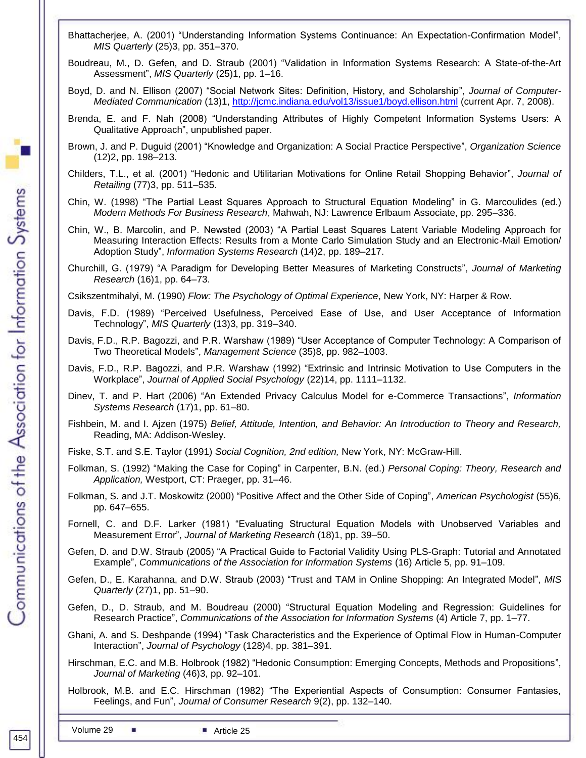- Boudreau, M., D. Gefen, and D. Straub (2001) "Validation in Information Systems Research: A State-of-the-Art Assessment", MIS Quarterly (25)1, pp. 1-16.
- Bovd. D. and N. Ellison (2007) "Social Network Sites: Definition, History, and Scholarship", *Journal of Computer-Mediated Communication* (13)1, <http://jcmc.indiana.edu/vol13/issue1/boyd.ellison.html> (current Apr. 7, 2008).
- Brenda, E. and F. Nah (2008) "Understanding Attributes of Highly Competent Information Systems Users: A Qualitative Approach", unpublished paper.
- Brown, J. and P. Duguid (2001) "Knowledge and Organization: A Social Practice Perspective", Organization Science (12)2, pp. 198–213.
- Childers, T.L., et al. (2001) "Hedonic and Utilitarian Motivations for Online Retail Shopping Behavior", *Journal of Retailing* (77)3, pp. 511–535.
- Chin, W. (1998) "The Partial Least Squares Approach to Structural Equation Modeling" in G. Marcoulides (ed.) *Modern Methods For Business Research*, Mahwah, NJ: Lawrence Erlbaum Associate, pp. 295–336.
- Chin, W., B. Marcolin, and P. Newsted (2003) "A Partial Least Squares Latent Variable Modeling Approach for Measuring Interaction Effects: Results from a Monte Carlo Simulation Study and an Electronic-Mail Emotion/ Adoption Study‖, *Information Systems Research* (14)2, pp. 189–217.
- Churchill, G. (1979) "A Paradigm for Developing Better Measures of Marketing Constructs", *Journal of Marketing Research* (16)1, pp. 64–73.

Csikszentmihalyi, M. (1990) *Flow: The Psychology of Optimal Experience*, New York, NY: Harper & Row.

- Davis, F.D. (1989) "Perceived Usefulness, Perceived Ease of Use, and User Acceptance of Information Technology‖, *MIS Quarterly* (13)3, pp. 319–340.
- Davis, F.D., R.P. Bagozzi, and P.R. Warshaw (1989) "User Acceptance of Computer Technology: A Comparison of Two Theoretical Models‖, *Management Science* (35)8, pp. 982–1003.
- Davis, F.D., R.P. Bagozzi, and P.R. Warshaw (1992) "Extrinsic and Intrinsic Motivation to Use Computers in the Workplace‖, *Journal of Applied Social Psychology* (22)14, pp. 1111–1132.
- Diney, T. and P. Hart (2006) "An Extended Privacy Calculus Model for e-Commerce Transactions", *Information Systems Research* (17)1, pp. 61–80.
- Fishbein, M. and I. Ajzen (1975) *Belief, Attitude, Intention, and Behavior: An Introduction to Theory and Research,* Reading, MA: Addison-Wesley.
- Fiske, S.T. and S.E. Taylor (1991) *Social Cognition, 2nd edition,* New York, NY: McGraw-Hill.
- Folkman, S. (1992) "Making the Case for Coping" in Carpenter, B.N. (ed.) *Personal Coping: Theory, Research and Application,* Westport, CT: Praeger, pp. 31–46.
- Folkman, S. and J.T. Moskowitz (2000) "Positive Affect and the Other Side of Coping", *American Psychologist* (55)6, pp. 647–655.
- Fornell, C. and D.F. Larker (1981) "Evaluating Structural Equation Models with Unobserved Variables and Measurement Error", *Journal of Marketing Research* (18)1, pp. 39–50.
- Gefen, D. and D.W. Straub (2005) "A Practical Guide to Factorial Validity Using PLS-Graph: Tutorial and Annotated Example‖, *Communications of the Association for Information Systems* (16) Article 5, pp. 91–109.
- Gefen, D., E. Karahanna, and D.W. Straub (2003) "Trust and TAM in Online Shopping: An Integrated Model", MIS *Quarterly* (27)1, pp. 51–90.
- Gefen, D., D. Straub, and M. Boudreau (2000) "Structural Equation Modeling and Regression: Guidelines for Research Practice‖, *Communications of the Association for Information Systems* (4) Article 7, pp. 1–77.
- Ghani, A. and S. Deshpande (1994) "Task Characteristics and the Experience of Optimal Flow in Human-Computer Interaction‖, *Journal of Psychology* (128)4, pp. 381–391.
- Hirschman, E.C. and M.B. Holbrook (1982) "Hedonic Consumption: Emerging Concepts, Methods and Propositions", *Journal of Marketing* (46)3, pp. 92–101.
- Holbrook, M.B. and E.C. Hirschman (1982) "The Experiential Aspects of Consumption: Consumer Fantasies, Feelings, and Fun<sup>"</sup>, *Journal of Consumer Research* 9(2), pp. 132–140.

a.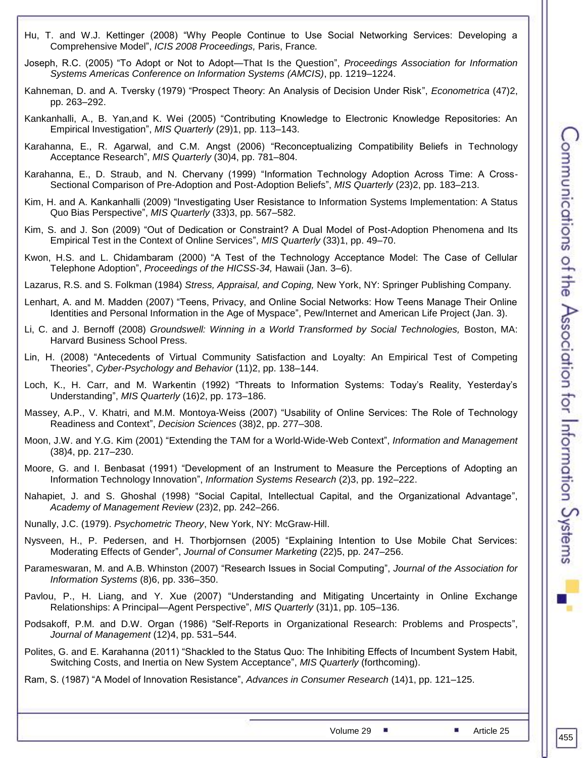- Hu, T. and W.J. Kettinger (2008) "Why People Continue to Use Social Networking Services: Developing a Comprehensive Model‖, *ICIS 2008 Proceedings,* Paris, France*.*
- Joseph, R.C. (2005) "To Adopt or Not to Adopt—That Is the Question", *Proceedings Association for Information Systems Americas Conference on Information Systems (AMCIS)*, pp. 1219–1224.
- Kahneman, D. and A. Tversky (1979) "Prospect Theory: An Analysis of Decision Under Risk", *Econometrica* (47)2, pp. 263–292.
- Kankanhalli, A., B. Yan,and K. Wei (2005) "Contributing Knowledge to Electronic Knowledge Repositories: An Empirical Investigation‖, *MIS Quarterly* (29)1, pp. 113–143.
- Karahanna, E., R. Agarwal, and C.M. Angst (2006) "Reconceptualizing Compatibility Beliefs in Technology Acceptance Research‖, *MIS Quarterly* (30)4, pp. 781–804.
- Karahanna, E., D. Straub, and N. Chervany (1999) "Information Technology Adoption Across Time: A Cross-Sectional Comparison of Pre-Adoption and Post-Adoption Beliefs", *MIS Quarterly* (23)2, pp. 183–213.
- Kim, H. and A. Kankanhalli (2009) "Investigating User Resistance to Information Systems Implementation: A Status Quo Bias Perspective", MIS Quarterly (33)3, pp. 567-582.
- Kim, S. and J. Son (2009) "Out of Dedication or Constraint? A Dual Model of Post-Adoption Phenomena and Its Empirical Test in the Context of Online Services", MIS Quarterly (33)1, pp. 49-70.
- Kwon, H.S. and L. Chidambaram (2000) "A Test of the Technology Acceptance Model: The Case of Cellular Telephone Adoption‖, *Proceedings of the HICSS-34,* Hawaii (Jan. 3–6).

Lazarus, R.S. and S. Folkman (1984) *Stress, Appraisal, and Coping,* New York, NY: Springer Publishing Company.

- Lenhart, A. and M. Madden (2007) "Teens, Privacy, and Online Social Networks: How Teens Manage Their Online Identities and Personal Information in the Age of Myspace", Pew/Internet and American Life Project (Jan. 3).
- Li, C. and J. Bernoff (2008) *Groundswell: Winning in a World Transformed by Social Technologies,* Boston, MA: Harvard Business School Press.
- Lin, H. (2008) "Antecedents of Virtual Community Satisfaction and Loyalty: An Empirical Test of Competing Theories‖, *Cyber-Psychology and Behavior* (11)2, pp. 138–144.
- Loch, K., H. Carr, and M. Warkentin (1992) "Threats to Information Systems: Today's Reality, Yesterday's Understanding‖, *MIS Quarterly* (16)2, pp. 173–186.
- Massey, A.P., V. Khatri, and M.M. Montoya-Weiss (2007) "Usability of Online Services: The Role of Technology Readiness and Context‖, *Decision Sciences* (38)2, pp. 277–308.
- Moon, J.W. and Y.G. Kim (2001) "Extending the TAM for a World-Wide-Web Context", *Information and Management* (38)4, pp. 217–230.
- Moore, G. and I. Benbasat (1991) "Development of an Instrument to Measure the Perceptions of Adopting an Information Technology Innovation‖, *Information Systems Research* (2)3, pp. 192–222.
- Nahapiet, J. and S. Ghoshal (1998) "Social Capital, Intellectual Capital, and the Organizational Advantage", *Academy of Management Review* (23)2, pp. 242–266.
- Nunally, J.C. (1979). *Psychometric Theory*, New York, NY: McGraw-Hill.
- Nysveen, H., P. Pedersen, and H. Thorbjornsen (2005) "Explaining Intention to Use Mobile Chat Services: Moderating Effects of Gender", *Journal of Consumer Marketing* (22)5, pp. 247-256.
- Parameswaran, M. and A.B. Whinston (2007) "Research Issues in Social Computing", *Journal of the Association for Information Systems* (8)6, pp. 336–350.
- Pavlou, P., H. Liang, and Y. Xue (2007) "Understanding and Mitigating Uncertainty in Online Exchange Relationships: A Principal—Agent Perspective", *MIS Quarterly* (31)1, pp. 105–136.
- Podsakoff, P.M. and D.W. Organ (1986) "Self-Reports in Organizational Research: Problems and Prospects", *Journal of Management* (12)4, pp. 531–544.
- Polites, G. and E. Karahanna (2011) "Shackled to the Status Quo: The Inhibiting Effects of Incumbent System Habit, Switching Costs, and Inertia on New System Acceptance", *MIS Quarterly* (forthcoming).
- Ram, S. (1987) "A Model of Innovation Resistance", *Advances in Consumer Research* (14)1, pp. 121–125.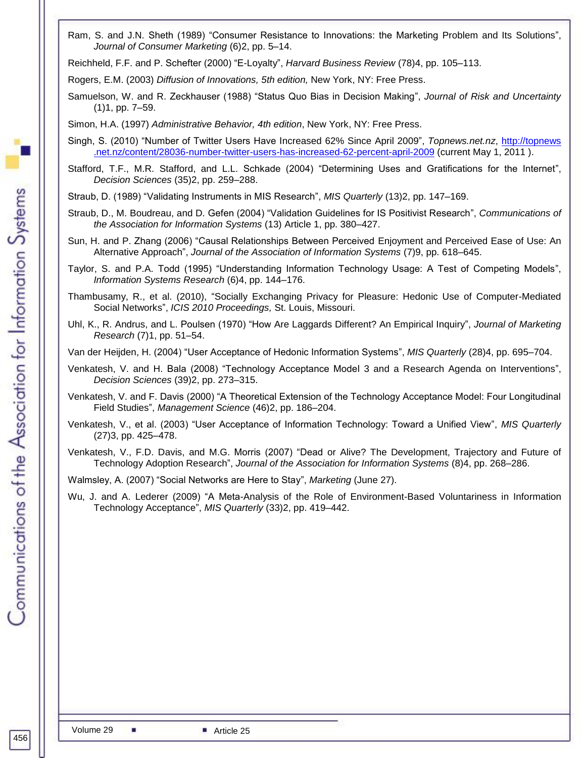Ram, S. and J.N. Sheth (1989) "Consumer Resistance to Innovations: the Marketing Problem and Its Solutions", *Journal of Consumer Marketing* (6)2, pp. 5–14.

Reichheld, F.F. and P. Schefter (2000) "E-Loyalty", *Harvard Business Review* (78)4, pp. 105–113.

Rogers, E.M. (2003) *Diffusion of Innovations, 5th edition,* New York, NY: Free Press.

Samuelson, W. and R. Zeckhauser (1988) "Status Quo Bias in Decision Making", *Journal of Risk and Uncertainty* (1)1, pp. 7–59.

Simon, H.A. (1997) *Administrative Behavior, 4th edition*, New York, NY: Free Press.

- Singh, S. (2010) "Number of Twitter Users Have Increased 62% Since April 2009", *Topnews.net.nz*, [http://topnews](http://topnews.net.nz/content/28036-number-twitter-users-has-increased-62-percent-april-2009) .net.nz/content/28036-number-twitter-users-has-increased-62-percent-april-2009 (current May 1, 2011 ).
- Stafford, T.F., M.R. Stafford, and L.L. Schkade (2004) "Determining Uses and Gratifications for the Internet", *Decision Sciences* (35)2, pp. 259–288.
- Straub, D. (1989) "Validating Instruments in MIS Research", *MIS Quarterly* (13)2, pp. 147–169.
- Straub, D., M. Boudreau, and D. Gefen (2004) "Validation Guidelines for IS Positivist Research", *Communications of the Association for Information Systems* (13) Article 1, pp. 380–427.
- Sun, H. and P. Zhang (2006) "Causal Relationships Between Perceived Enjoyment and Perceived Ease of Use: An Alternative Approach‖, *Journal of the Association of Information Systems* (7)9, pp. 618–645.
- Taylor, S. and P.A. Todd (1995) "Understanding Information Technology Usage: A Test of Competing Models", *Information Systems Research* (6)4, pp. 144–176.
- Thambusamy, R., et al. (2010), "Socially Exchanging Privacy for Pleasure: Hedonic Use of Computer-Mediated Social Networks‖, *ICIS 2010 Proceedings,* St. Louis, Missouri.
- Uhl, K., R. Andrus, and L. Poulsen (1970) "How Are Laggards Different? An Empirical Inquiry", *Journal of Marketing Research* (7)1, pp. 51–54.

Van der Heijden, H. (2004) "User Acceptance of Hedonic Information Systems", *MIS Quarterly* (28)4, pp. 695–704.

- Venkatesh, V. and H. Bala (2008) "Technology Acceptance Model 3 and a Research Agenda on Interventions", *Decision Sciences* (39)2, pp. 273–315.
- Venkatesh, V. and F. Davis (2000) "A Theoretical Extension of the Technology Acceptance Model: Four Longitudinal Field Studies‖, *Management Science* (46)2, pp. 186–204.
- Venkatesh, V., et al. (2003) "User Acceptance of Information Technology: Toward a Unified View", *MIS Quarterly* (27)3, pp. 425–478.
- Venkatesh, V., F.D. Davis, and M.G. Morris (2007) "Dead or Alive? The Development, Trajectory and Future of Technology Adoption Research‖, *Journal of the Association for Information Systems* (8)4, pp. 268–286.

Walmsley, A. (2007) "Social Networks are Here to Stay", *Marketing* (June 27).

Wu, J. and A. Lederer (2009) "A Meta-Analysis of the Role of Environment-Based Voluntariness in Information Technology Acceptance‖, *MIS Quarterly* (33)2, pp. 419–442.

an a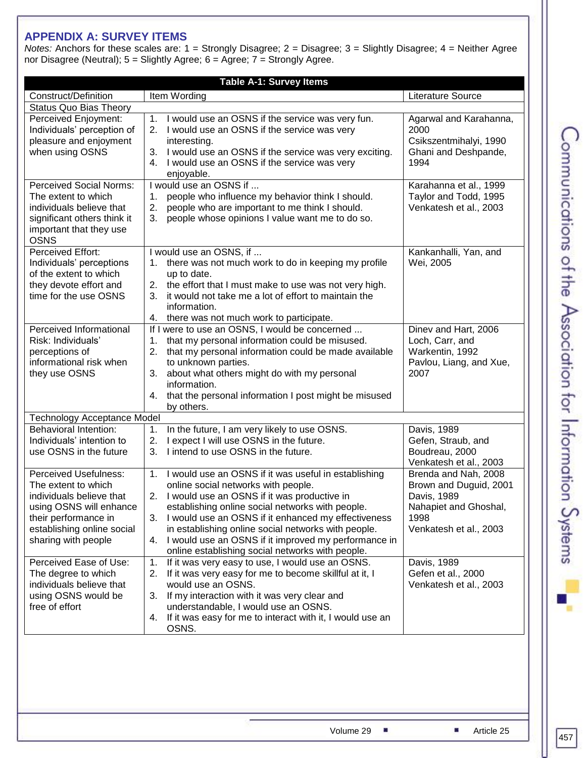#### **APPENDIX A: SURVEY ITEMS**

*Notes:* Anchors for these scales are: 1 = Strongly Disagree; 2 = Disagree; 3 = Slightly Disagree; 4 = Neither Agree nor Disagree (Neutral);  $5 =$  Slightly Agree;  $6 =$  Agree;  $7 =$  Strongly Agree.

|                                                                                                                                                                                                                                          | <b>Table A-1: Survey Items</b>                                                                                                                                                                                                                                                                                                                                                                                                                                                                                                                                          |                                                                                                                                                               |
|------------------------------------------------------------------------------------------------------------------------------------------------------------------------------------------------------------------------------------------|-------------------------------------------------------------------------------------------------------------------------------------------------------------------------------------------------------------------------------------------------------------------------------------------------------------------------------------------------------------------------------------------------------------------------------------------------------------------------------------------------------------------------------------------------------------------------|---------------------------------------------------------------------------------------------------------------------------------------------------------------|
| Construct/Definition                                                                                                                                                                                                                     | Item Wording                                                                                                                                                                                                                                                                                                                                                                                                                                                                                                                                                            | Literature Source                                                                                                                                             |
| <b>Status Quo Bias Theory</b>                                                                                                                                                                                                            |                                                                                                                                                                                                                                                                                                                                                                                                                                                                                                                                                                         |                                                                                                                                                               |
| Perceived Enjoyment:<br>Individuals' perception of<br>pleasure and enjoyment<br>when using OSNS                                                                                                                                          | I would use an OSNS if the service was very fun.<br>1.<br>I would use an OSNS if the service was very<br>2.<br>interesting.<br>I would use an OSNS if the service was very exciting.<br>З.<br>I would use an OSNS if the service was very<br>4.<br>enjoyable.                                                                                                                                                                                                                                                                                                           | Agarwal and Karahanna,<br>2000<br>Csikszentmihalyi, 1990<br>Ghani and Deshpande,<br>1994                                                                      |
| <b>Perceived Social Norms:</b><br>The extent to which<br>individuals believe that<br>significant others think it<br>important that they use<br><b>OSNS</b>                                                                               | I would use an OSNS if<br>people who influence my behavior think I should.<br>1.<br>people who are important to me think I should.<br>2.<br>people whose opinions I value want me to do so.<br>3.                                                                                                                                                                                                                                                                                                                                                                       | Karahanna et al., 1999<br>Taylor and Todd, 1995<br>Venkatesh et al., 2003                                                                                     |
| Perceived Effort:<br>Individuals' perceptions<br>of the extent to which<br>they devote effort and<br>time for the use OSNS                                                                                                               | I would use an OSNS, if<br>there was not much work to do in keeping my profile<br>up to date.<br>2. the effort that I must make to use was not very high.<br>it would not take me a lot of effort to maintain the<br>3.<br>information.<br>4. there was not much work to participate.                                                                                                                                                                                                                                                                                   | Kankanhalli, Yan, and<br>Wei, 2005                                                                                                                            |
| Perceived Informational<br>Risk: Individuals'<br>perceptions of<br>informational risk when<br>they use OSNS                                                                                                                              | If I were to use an OSNS, I would be concerned<br>1.<br>that my personal information could be misused.<br>that my personal information could be made available<br>2.<br>to unknown parties.<br>about what others might do with my personal<br>3.<br>information.<br>that the personal information I post might be misused<br>4.<br>by others.                                                                                                                                                                                                                           | Dinev and Hart, 2006<br>Loch, Carr, and<br>Warkentin, 1992<br>Pavlou, Liang, and Xue,<br>2007                                                                 |
| <b>Technology Acceptance Model</b>                                                                                                                                                                                                       |                                                                                                                                                                                                                                                                                                                                                                                                                                                                                                                                                                         |                                                                                                                                                               |
| <b>Behavioral Intention:</b><br>Individuals' intention to<br>use OSNS in the future                                                                                                                                                      | In the future, I am very likely to use OSNS.<br>1.<br>I expect I will use OSNS in the future.<br>2.<br>I intend to use OSNS in the future.<br>3.                                                                                                                                                                                                                                                                                                                                                                                                                        | Davis, 1989<br>Gefen, Straub, and<br>Boudreau, 2000<br>Venkatesh et al., 2003                                                                                 |
| <b>Perceived Usefulness:</b><br>The extent to which<br>individuals believe that<br>using OSNS will enhance<br>their performance in<br>establishing online social<br>sharing with people<br>Perceived Ease of Use:<br>The degree to which | I would use an OSNS if it was useful in establishing<br>1.<br>online social networks with people.<br>2. I would use an OSNS if it was productive in<br>establishing online social networks with people.<br>3.<br>I would use an OSNS if it enhanced my effectiveness<br>in establishing online social networks with people.<br>I would use an OSNS if it improved my performance in<br>4.<br>online establishing social networks with people.<br>If it was very easy to use, I would use an OSNS.<br>1.<br>If it was very easy for me to become skillful at it, I<br>2. | Brenda and Nah, 2008<br>Brown and Duguid, 2001<br>Davis, 1989<br>Nahapiet and Ghoshal,<br>1998<br>Venkatesh et al., 2003<br>Davis, 1989<br>Gefen et al., 2000 |
| individuals believe that<br>using OSNS would be<br>free of effort                                                                                                                                                                        | would use an OSNS.<br>If my interaction with it was very clear and<br>3.<br>understandable, I would use an OSNS.<br>If it was easy for me to interact with it, I would use an<br>4.<br>OSNS.                                                                                                                                                                                                                                                                                                                                                                            | Venkatesh et al., 2003                                                                                                                                        |

Volume 29 ■ Article 25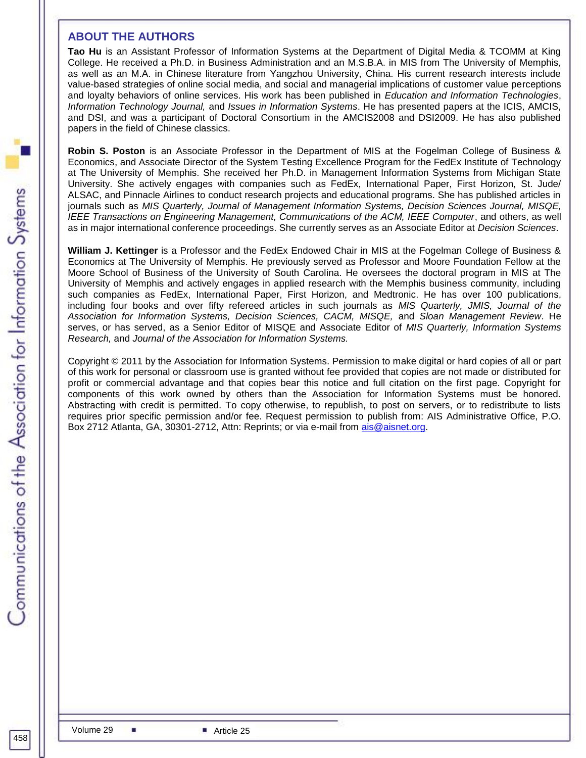#### **ABOUT THE AUTHORS**

**Tao Hu** is an Assistant Professor of Information Systems at the Department of Digital Media & TCOMM at King College. He received a Ph.D. in Business Administration and an M.S.B.A. in MIS from The University of Memphis, as well as an M.A. in Chinese literature from Yangzhou University, China. His current research interests include value-based strategies of online social media, and social and managerial implications of customer value perceptions and loyalty behaviors of online services. His work has been published in *Education and Information Technologies*, *Information Technology Journal,* and *Issues in Information Systems*. He has presented papers at the ICIS, AMCIS, and DSI, and was a participant of Doctoral Consortium in the AMCIS2008 and DSI2009. He has also published papers in the field of Chinese classics.

**Robin S. Poston** is an Associate Professor in the Department of MIS at the Fogelman College of Business & Economics, and Associate Director of the System Testing Excellence Program for the FedEx Institute of Technology at The University of Memphis. She received her Ph.D. in Management Information Systems from Michigan State University. She actively engages with companies such as FedEx, International Paper, First Horizon, St. Jude/ ALSAC, and Pinnacle Airlines to conduct research projects and educational programs. She has published articles in journals such as *MIS Quarterly, Journal of Management Information Systems, Decision Sciences Journal, MISQE, IEEE Transactions on Engineering Management, Communications of the ACM, IEEE Computer*, and others, as well as in major international conference proceedings. She currently serves as an Associate Editor at *Decision Sciences*.

**William J. Kettinger** is a Professor and the FedEx Endowed Chair in MIS at the Fogelman College of Business & Economics at The University of Memphis. He previously served as Professor and Moore Foundation Fellow at the Moore School of Business of the University of South Carolina. He oversees the doctoral program in MIS at The University of Memphis and actively engages in applied research with the Memphis business community, including such companies as FedEx, International Paper, First Horizon, and Medtronic. He has over 100 publications, including four books and over fifty refereed articles in such journals as *MIS Quarterly, JMIS, Journal of the Association for Information Systems, Decision Sciences, CACM, MISQE,* and *Sloan Management Review*. He serves, or has served, as a Senior Editor of MISQE and Associate Editor of *MIS Quarterly, Information Systems Research,* and *Journal of the Association for Information Systems.*

Copyright © 2011 by the Association for Information Systems. Permission to make digital or hard copies of all or part of this work for personal or classroom use is granted without fee provided that copies are not made or distributed for profit or commercial advantage and that copies bear this notice and full citation on the first page. Copyright for components of this work owned by others than the Association for Information Systems must be honored. Abstracting with credit is permitted. To copy otherwise, to republish, to post on servers, or to redistribute to lists requires prior specific permission and/or fee. Request permission to publish from: AIS Administrative Office, P.O. Box 2712 Atlanta, GA, 30301-2712, Attn: Reprints; or via e-mail from [ais@aisnet.org.](mailto:ais@aisnet.org)